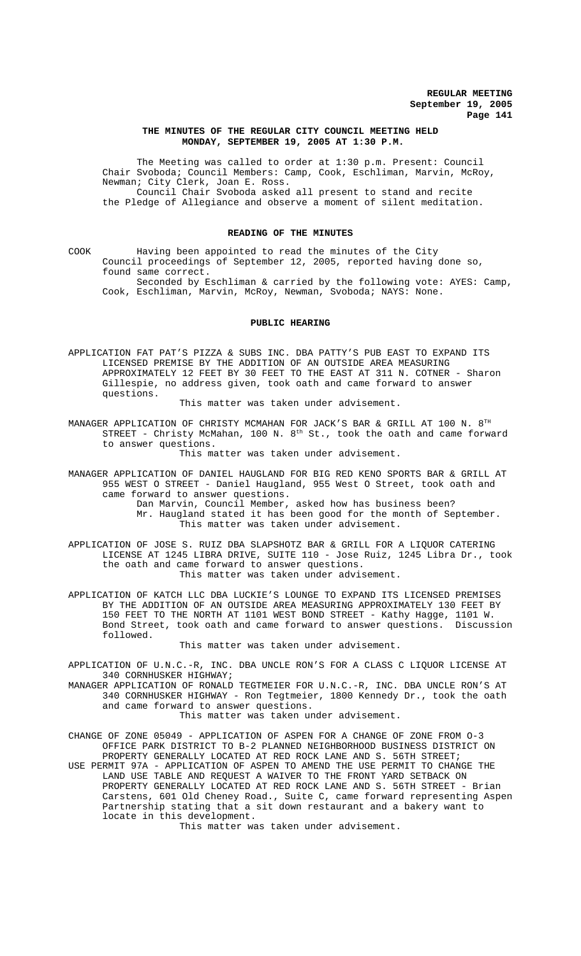# **THE MINUTES OF THE REGULAR CITY COUNCIL MEETING HELD MONDAY, SEPTEMBER 19, 2005 AT 1:30 P.M.**

The Meeting was called to order at 1:30 p.m. Present: Council Chair Svoboda; Council Members: Camp, Cook, Eschliman, Marvin, McRoy, Newman; City Clerk, Joan E. Ross. Council Chair Svoboda asked all present to stand and recite

the Pledge of Allegiance and observe a moment of silent meditation.

### **READING OF THE MINUTES**

COOK Having been appointed to read the minutes of the City Council proceedings of September 12, 2005, reported having done so, found same correct.

Seconded by Eschliman & carried by the following vote: AYES: Camp, Cook, Eschliman, Marvin, McRoy, Newman, Svoboda; NAYS: None.

# **PUBLIC HEARING**

APPLICATION FAT PAT'S PIZZA & SUBS INC. DBA PATTY'S PUB EAST TO EXPAND ITS LICENSED PREMISE BY THE ADDITION OF AN OUTSIDE AREA MEASURING APPROXIMATELY 12 FEET BY 30 FEET TO THE EAST AT 311 N. COTNER - Sharon Gillespie, no address given, took oath and came forward to answer questions.

This matter was taken under advisement.

MANAGER APPLICATION OF CHRISTY MCMAHAN FOR JACK'S BAR & GRILL AT 100 N. 8TH STREET - Christy McMahan, 100 N.  $8<sup>th</sup>$  St., took the oath and came forward to answer questions.

This matter was taken under advisement.

MANAGER APPLICATION OF DANIEL HAUGLAND FOR BIG RED KENO SPORTS BAR & GRILL AT 955 WEST O STREET - Daniel Haugland, 955 West O Street, took oath and came forward to answer questions.

Dan Marvin, Council Member, asked how has business been? Mr. Haugland stated it has been good for the month of September. This matter was taken under advisement.

APPLICATION OF JOSE S. RUIZ DBA SLAPSHOTZ BAR & GRILL FOR A LIQUOR CATERING LICENSE AT 1245 LIBRA DRIVE, SUITE 110 - Jose Ruiz, 1245 Libra Dr., took the oath and came forward to answer questions. This matter was taken under advisement.

APPLICATION OF KATCH LLC DBA LUCKIE'S LOUNGE TO EXPAND ITS LICENSED PREMISES BY THE ADDITION OF AN OUTSIDE AREA MEASURING APPROXIMATELY 130 FEET BY 150 FEET TO THE NORTH AT 1101 WEST BOND STREET - Kathy Hagge, 1101 W. Bond Street, took oath and came forward to answer questions. Discussion followed.

This matter was taken under advisement.

APPLICATION OF U.N.C.-R, INC. DBA UNCLE RON'S FOR A CLASS C LIQUOR LICENSE AT 340 CORNHUSKER HIGHWAY;

MANAGER APPLICATION OF RONALD TEGTMEIER FOR U.N.C.-R, INC. DBA UNCLE RON'S AT 340 CORNHUSKER HIGHWAY - Ron Tegtmeier, 1800 Kennedy Dr., took the oath and came forward to answer questions.

This matter was taken under advisement.

CHANGE OF ZONE 05049 - APPLICATION OF ASPEN FOR A CHANGE OF ZONE FROM O-3 OFFICE PARK DISTRICT TO B-2 PLANNED NEIGHBORHOOD BUSINESS DISTRICT ON PROPERTY GENERALLY LOCATED AT RED ROCK LANE AND S. 56TH STREET; USE PERMIT 97A - APPLICATION OF ASPEN TO AMEND THE USE PERMIT TO CHANGE THE LAND USE TABLE AND REQUEST A WAIVER TO THE FRONT YARD SETBACK ON PROPERTY GENERALLY LOCATED AT RED ROCK LANE AND S. 56TH STREET - Brian Carstens, 601 Old Cheney Road., Suite C, came forward representing Aspen Partnership stating that a sit down restaurant and a bakery want to locate in this development.

This matter was taken under advisement.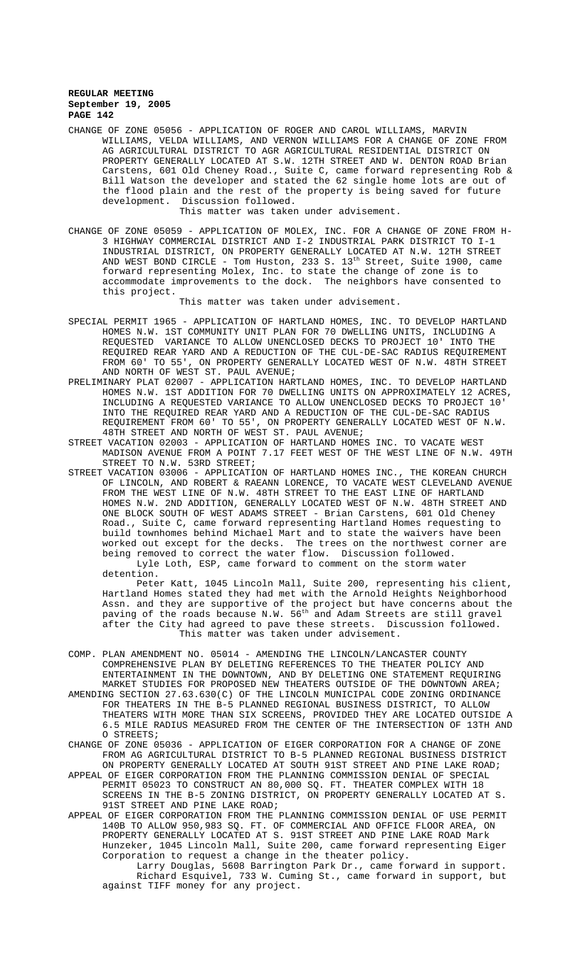CHANGE OF ZONE 05056 - APPLICATION OF ROGER AND CAROL WILLIAMS, MARVIN WILLIAMS, VELDA WILLIAMS, AND VERNON WILLIAMS FOR A CHANGE OF ZONE FROM AG AGRICULTURAL DISTRICT TO AGR AGRICULTURAL RESIDENTIAL DISTRICT ON PROPERTY GENERALLY LOCATED AT S.W. 12TH STREET AND W. DENTON ROAD Brian Carstens, 601 Old Cheney Road., Suite C, came forward representing Rob & Bill Watson the developer and stated the 62 single home lots are out of the flood plain and the rest of the property is being saved for future development. Discussion followed.

This matter was taken under advisement.

CHANGE OF ZONE 05059 - APPLICATION OF MOLEX, INC. FOR A CHANGE OF ZONE FROM H-3 HIGHWAY COMMERCIAL DISTRICT AND I-2 INDUSTRIAL PARK DISTRICT TO I-1 INDUSTRIAL DISTRICT, ON PROPERTY GENERALLY LOCATED AT N.W. 12TH STREET AND WEST BOND CIRCLE - Tom Huston, 233 S.  $13^{\text{th}}$  Street, Suite 1900, came forward representing Molex, Inc. to state the change of zone is to accommodate improvements to the dock. The neighbors have consented to this project.

This matter was taken under advisement.

- SPECIAL PERMIT 1965 APPLICATION OF HARTLAND HOMES, INC. TO DEVELOP HARTLAND HOMES N.W. 1ST COMMUNITY UNIT PLAN FOR 70 DWELLING UNITS, INCLUDING A REQUESTED VARIANCE TO ALLOW UNENCLOSED DECKS TO PROJECT 10' INTO THE REQUIRED REAR YARD AND A REDUCTION OF THE CUL-DE-SAC RADIUS REQUIREMENT FROM 60' TO 55', ON PROPERTY GENERALLY LOCATED WEST OF N.W. 48TH STREET AND NORTH OF WEST ST. PAUL AVENUE;
- PRELIMINARY PLAT 02007 APPLICATION HARTLAND HOMES, INC. TO DEVELOP HARTLAND HOMES N.W. 1ST ADDITION FOR 70 DWELLING UNITS ON APPROXIMATELY 12 ACRES, INCLUDING A REQUESTED VARIANCE TO ALLOW UNENCLOSED DECKS TO PROJECT 10' INTO THE REQUIRED REAR YARD AND A REDUCTION OF THE CUL-DE-SAC RADIUS REQUIREMENT FROM 60' TO 55', ON PROPERTY GENERALLY LOCATED WEST OF N.W. 48TH STREET AND NORTH OF WEST ST. PAUL AVENUE;
- STREET VACATION 02003 APPLICATION OF HARTLAND HOMES INC. TO VACATE WEST MADISON AVENUE FROM A POINT 7.17 FEET WEST OF THE WEST LINE OF N.W. 49TH STREET TO N.W. 53RD STREET;
- STREET VACATION 03006 APPLICATION OF HARTLAND HOMES INC., THE KOREAN CHURCH OF LINCOLN, AND ROBERT & RAEANN LORENCE, TO VACATE WEST CLEVELAND AVENUE FROM THE WEST LINE OF N.W. 48TH STREET TO THE EAST LINE OF HARTLAND HOMES N.W. 2ND ADDITION, GENERALLY LOCATED WEST OF N.W. 48TH STREET AND ONE BLOCK SOUTH OF WEST ADAMS STREET - Brian Carstens, 601 Old Cheney Road., Suite C, came forward representing Hartland Homes requesting to build townhomes behind Michael Mart and to state the waivers have been worked out except for the decks. The trees on the northwest corner are being removed to correct the water flow. Discussion followed. Lyle Loth, ESP, came forward to comment on the storm water

detention.

Peter Katt, 1045 Lincoln Mall, Suite 200, representing his client, Hartland Homes stated they had met with the Arnold Heights Neighborhood Assn. and they are supportive of the project but have concerns about the paving of the roads because N.W.  $56^{\text{th}}$  and Adam Streets are still gravel after the City had agreed to pave these streets. Discussion followed. This matter was taken under advisement.

- COMP. PLAN AMENDMENT NO. 05014 AMENDING THE LINCOLN/LANCASTER COUNTY COMPREHENSIVE PLAN BY DELETING REFERENCES TO THE THEATER POLICY AND ENTERTAINMENT IN THE DOWNTOWN, AND BY DELETING ONE STATEMENT REQUIRING MARKET STUDIES FOR PROPOSED NEW THEATERS OUTSIDE OF THE DOWNTOWN AREA;
- AMENDING SECTION 27.63.630(C) OF THE LINCOLN MUNICIPAL CODE ZONING ORDINANCE FOR THEATERS IN THE B-5 PLANNED REGIONAL BUSINESS DISTRICT, TO ALLOW THEATERS WITH MORE THAN SIX SCREENS, PROVIDED THEY ARE LOCATED OUTSIDE A 6.5 MILE RADIUS MEASURED FROM THE CENTER OF THE INTERSECTION OF 13TH AND O STREETS;
- CHANGE OF ZONE 05036 APPLICATION OF EIGER CORPORATION FOR A CHANGE OF ZONE FROM AG AGRICULTURAL DISTRICT TO B-5 PLANNED REGIONAL BUSINESS DISTRICT ON PROPERTY GENERALLY LOCATED AT SOUTH 91ST STREET AND PINE LAKE ROAD;
- APPEAL OF EIGER CORPORATION FROM THE PLANNING COMMISSION DENIAL OF SPECIAL PERMIT 05023 TO CONSTRUCT AN 80,000 SQ. FT. THEATER COMPLEX WITH 18 SCREENS IN THE B-5 ZONING DISTRICT, ON PROPERTY GENERALLY LOCATED AT S. 91ST STREET AND PINE LAKE ROAD;
- APPEAL OF EIGER CORPORATION FROM THE PLANNING COMMISSION DENIAL OF USE PERMIT 140B TO ALLOW 950,983 SQ. FT. OF COMMERCIAL AND OFFICE FLOOR AREA, ON PROPERTY GENERALLY LOCATED AT S. 91ST STREET AND PINE LAKE ROAD Mark Hunzeker, 1045 Lincoln Mall, Suite 200, came forward representing Eiger Corporation to request a change in the theater policy.
	- Larry Douglas, 5608 Barrington Park Dr., came forward in support. Richard Esquivel, 733 W. Cuming St., came forward in support, but against TIFF money for any project.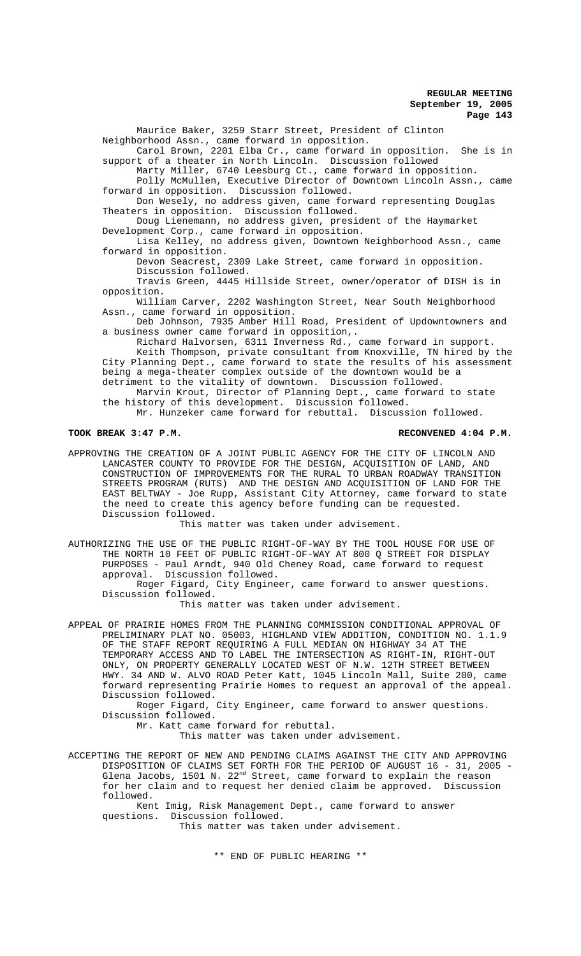Maurice Baker, 3259 Starr Street, President of Clinton Neighborhood Assn., came forward in opposition.

Carol Brown, 2201 Elba Cr., came forward in opposition. She is in support of a theater in North Lincoln. Discussion followed

Marty Miller, 6740 Leesburg Ct., came forward in opposition.

Polly McMullen, Executive Director of Downtown Lincoln Assn., came<br>d in opposition. Discussion followed. forward in opposition.

Don Wesely, no address given, came forward representing Douglas Theaters in opposition. Discussion followed.

Doug Lienemann, no address given, president of the Haymarket Development Corp., came forward in opposition.

Lisa Kelley, no address given, Downtown Neighborhood Assn., came forward in opposition.

Devon Seacrest, 2309 Lake Street, came forward in opposition. Discussion followed.

Travis Green, 4445 Hillside Street, owner/operator of DISH is in opposition.

William Carver, 2202 Washington Street, Near South Neighborhood Assn., came forward in opposition.

Deb Johnson, 7935 Amber Hill Road, President of Updowntowners and a business owner came forward in opposition,.

Richard Halvorsen, 6311 Inverness Rd., came forward in support. Keith Thompson, private consultant from Knoxville, TN hired by the City Planning Dept., came forward to state the results of his assessment being a mega-theater complex outside of the downtown would be a detriment to the vitality of downtown. Discussion followed.

Marvin Krout, Director of Planning Dept., came forward to state the history of this development. Discussion followed.

Mr. Hunzeker came forward for rebuttal. Discussion followed.

**TOOK BREAK 3:47 P.M. RECONVENED 4:04 P.M.**

APPROVING THE CREATION OF A JOINT PUBLIC AGENCY FOR THE CITY OF LINCOLN AND LANCASTER COUNTY TO PROVIDE FOR THE DESIGN, ACQUISITION OF LAND, AND CONSTRUCTION OF IMPROVEMENTS FOR THE RURAL TO URBAN ROADWAY TRANSITION STREETS PROGRAM (RUTS) AND THE DESIGN AND ACQUISITION OF LAND FOR THE EAST BELTWAY - Joe Rupp, Assistant City Attorney, came forward to state the need to create this agency before funding can be requested. Discussion followed.

This matter was taken under advisement.

AUTHORIZING THE USE OF THE PUBLIC RIGHT-OF-WAY BY THE TOOL HOUSE FOR USE OF THE NORTH 10 FEET OF PUBLIC RIGHT-OF-WAY AT 800 Q STREET FOR DISPLAY PURPOSES - Paul Arndt, 940 Old Cheney Road, came forward to request approval. Discussion followed.

Roger Figard, City Engineer, came forward to answer questions. Discussion followed.

This matter was taken under advisement.

APPEAL OF PRAIRIE HOMES FROM THE PLANNING COMMISSION CONDITIONAL APPROVAL OF PRELIMINARY PLAT NO. 05003, HIGHLAND VIEW ADDITION, CONDITION NO. 1.1.9 OF THE STAFF REPORT REQUIRING A FULL MEDIAN ON HIGHWAY 34 AT THE TEMPORARY ACCESS AND TO LABEL THE INTERSECTION AS RIGHT-IN, RIGHT-OUT ONLY, ON PROPERTY GENERALLY LOCATED WEST OF N.W. 12TH STREET BETWEEN HWY. 34 AND W. ALVO ROAD Peter Katt, 1045 Lincoln Mall, Suite 200, came forward representing Prairie Homes to request an approval of the appeal. Discussion followed.

Roger Figard, City Engineer, came forward to answer questions. Discussion followed.

Mr. Katt came forward for rebuttal.

This matter was taken under advisement.

ACCEPTING THE REPORT OF NEW AND PENDING CLAIMS AGAINST THE CITY AND APPROVING DISPOSITION OF CLAIMS SET FORTH FOR THE PERIOD OF AUGUST 16 - 31, 2005 - Glena Jacobs, 1501 N.  $22^{\text{nd}}$  Street, came forward to explain the reason for her claim and to request her denied claim be approved. Discussion followed.

Kent Imig, Risk Management Dept., came forward to answer questions. Discussion followed.

This matter was taken under advisement.

\*\* END OF PUBLIC HEARING \*\*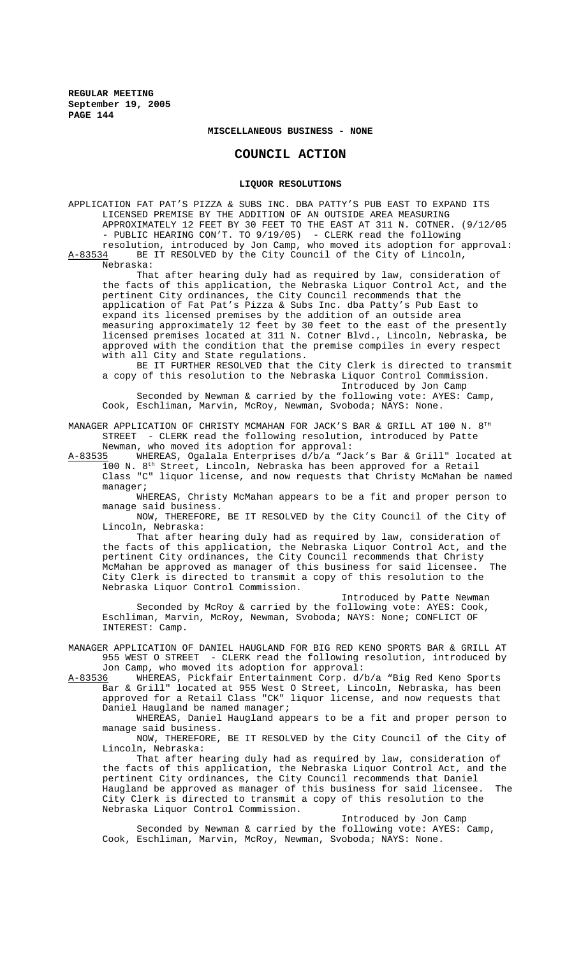### **MISCELLANEOUS BUSINESS - NONE**

# **COUNCIL ACTION**

#### **LIQUOR RESOLUTIONS**

APPLICATION FAT PAT'S PIZZA & SUBS INC. DBA PATTY'S PUB EAST TO EXPAND ITS LICENSED PREMISE BY THE ADDITION OF AN OUTSIDE AREA MEASURING APPROXIMATELY 12 FEET BY 30 FEET TO THE EAST AT 311 N. COTNER. (9/12/05 - PUBLIC HEARING CON'T. TO 9/19/05) - CLERK read the following resolution, introduced by Jon Camp, who moved its adoption for approval:<br>A-83534 BE IT RESOLVED by the City Council of the City of Lincoln, BE IT RESOLVED by the City Council of the City of Lincoln, Nebraska:

That after hearing duly had as required by law, consideration of the facts of this application, the Nebraska Liquor Control Act, and the pertinent City ordinances, the City Council recommends that the application of Fat Pat's Pizza & Subs Inc. dba Patty's Pub East to expand its licensed premises by the addition of an outside area measuring approximately 12 feet by 30 feet to the east of the presently licensed premises located at 311 N. Cotner Blvd., Lincoln, Nebraska, be approved with the condition that the premise compiles in every respect with all City and State regulations.

BE IT FURTHER RESOLVED that the City Clerk is directed to transmit a copy of this resolution to the Nebraska Liquor Control Commission. Introduced by Jon Camp

Seconded by Newman & carried by the following vote: AYES: Camp, Cook, Eschliman, Marvin, McRoy, Newman, Svoboda; NAYS: None.

MANAGER APPLICATION OF CHRISTY MCMAHAN FOR JACK'S BAR & GRILL AT 100 N. 8TH STREET - CLERK read the following resolution, introduced by Patte

Newman, who moved its adoption for approval:<br>A-83535 WHEREAS, Ogalala Enterprises d/b/a "Ja WHEREAS, Ogalala Enterprises d/b/a "Jack's Bar & Grill" located at 100 N. 8th Street, Lincoln, Nebraska has been approved for a Retail Class "C" liquor license, and now requests that Christy McMahan be named manager;

WHEREAS, Christy McMahan appears to be a fit and proper person to manage said business.

NOW, THEREFORE, BE IT RESOLVED by the City Council of the City of Lincoln, Nebraska:

That after hearing duly had as required by law, consideration of the facts of this application, the Nebraska Liquor Control Act, and the pertinent City ordinances, the City Council recommends that Christy McMahan be approved as manager of this business for said licensee. City Clerk is directed to transmit a copy of this resolution to the Nebraska Liquor Control Commission.

Introduced by Patte Newman Seconded by McRoy & carried by the following vote: AYES: Cook, Eschliman, Marvin, McRoy, Newman, Svoboda; NAYS: None; CONFLICT OF INTEREST: Camp.

MANAGER APPLICATION OF DANIEL HAUGLAND FOR BIG RED KENO SPORTS BAR & GRILL AT 955 WEST O STREET - CLERK read the following resolution, introduced by Jon Camp, who moved its adoption for approval:<br>A-83536 WHEREAS, Pickfair Entertainment Corp. d/

WHEREAS, Pickfair Entertainment Corp. d/b/a "Big Red Keno Sports Bar & Grill" located at 955 West O Street, Lincoln, Nebraska, has been approved for a Retail Class "CK" liquor license, and now requests that Daniel Haugland be named manager;

WHEREAS, Daniel Haugland appears to be a fit and proper person to manage said business.

NOW, THEREFORE, BE IT RESOLVED by the City Council of the City of Lincoln, Nebraska:

That after hearing duly had as required by law, consideration of the facts of this application, the Nebraska Liquor Control Act, and the pertinent City ordinances, the City Council recommends that Daniel Haugland be approved as manager of this business for said licensee. The City Clerk is directed to transmit a copy of this resolution to the Nebraska Liquor Control Commission.

Introduced by Jon Camp

Seconded by Newman & carried by the following vote: AYES: Camp, Cook, Eschliman, Marvin, McRoy, Newman, Svoboda; NAYS: None.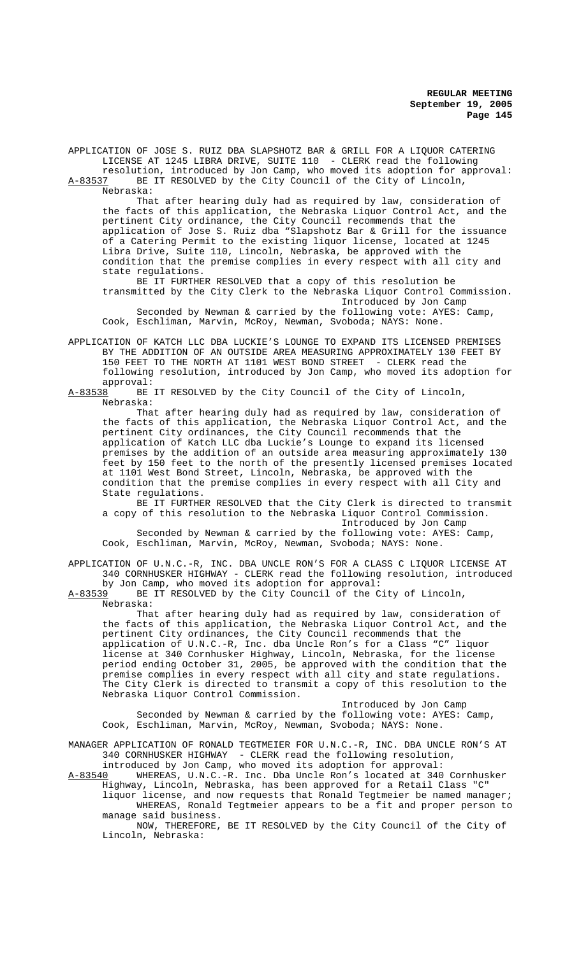APPLICATION OF JOSE S. RUIZ DBA SLAPSHOTZ BAR & GRILL FOR A LIQUOR CATERING LICENSE AT 1245 LIBRA DRIVE, SUITE 110 - CLERK read the following resolution, introduced by Jon Camp, who moved its adoption for approval:

A-83537 BE IT RESOLVED by the City Council of the City of Lincoln, Nebraska:

That after hearing duly had as required by law, consideration of the facts of this application, the Nebraska Liquor Control Act, and the pertinent City ordinance, the City Council recommends that the application of Jose S. Ruiz dba "Slapshotz Bar & Grill for the issuance of a Catering Permit to the existing liquor license, located at 1245 Libra Drive, Suite 110, Lincoln, Nebraska, be approved with the condition that the premise complies in every respect with all city and state regulations.

BE IT FURTHER RESOLVED that a copy of this resolution be transmitted by the City Clerk to the Nebraska Liquor Control Commission. Introduced by Jon Camp

Seconded by Newman & carried by the following vote: AYES: Camp, Cook, Eschliman, Marvin, McRoy, Newman, Svoboda; NAYS: None.

APPLICATION OF KATCH LLC DBA LUCKIE'S LOUNGE TO EXPAND ITS LICENSED PREMISES BY THE ADDITION OF AN OUTSIDE AREA MEASURING APPROXIMATELY 130 FEET BY 150 FEET TO THE NORTH AT 1101 WEST BOND STREET - CLERK read the following resolution, introduced by Jon Camp, who moved its adoption for approval:<br>A-83538 BE

BE IT RESOLVED by the City Council of the City of Lincoln, Nebraska:

That after hearing duly had as required by law, consideration of the facts of this application, the Nebraska Liquor Control Act, and the pertinent City ordinances, the City Council recommends that the application of Katch LLC dba Luckie's Lounge to expand its licensed premises by the addition of an outside area measuring approximately 130 feet by 150 feet to the north of the presently licensed premises located at 1101 West Bond Street, Lincoln, Nebraska, be approved with the condition that the premise complies in every respect with all City and State regulations.

BE IT FURTHER RESOLVED that the City Clerk is directed to transmit a copy of this resolution to the Nebraska Liquor Control Commission. Introduced by Jon Camp

Seconded by Newman & carried by the following vote: AYES: Camp, Cook, Eschliman, Marvin, McRoy, Newman, Svoboda; NAYS: None.

APPLICATION OF U.N.C.-R, INC. DBA UNCLE RON'S FOR A CLASS C LIQUOR LICENSE AT 340 CORNHUSKER HIGHWAY - CLERK read the following resolution, introduced by Jon Camp, who moved its adoption for approval:<br>A-83539 BE IT RESOLVED by the City Council of the C

BE IT RESOLVED by the City Council of the City of Lincoln, Nebraska:

That after hearing duly had as required by law, consideration of the facts of this application, the Nebraska Liquor Control Act, and the pertinent City ordinances, the City Council recommends that the application of U.N.C.-R, Inc. dba Uncle Ron's for a Class "C" liquor license at 340 Cornhusker Highway, Lincoln, Nebraska, for the license period ending October 31, 2005, be approved with the condition that the premise complies in every respect with all city and state regulations. The City Clerk is directed to transmit a copy of this resolution to the Nebraska Liquor Control Commission.

Introduced by Jon Camp

Seconded by Newman & carried by the following vote: AYES: Camp, Cook, Eschliman, Marvin, McRoy, Newman, Svoboda; NAYS: None.

MANAGER APPLICATION OF RONALD TEGTMEIER FOR U.N.C.-R, INC. DBA UNCLE RON'S AT 340 CORNHUSKER HIGHWAY - CLERK read the following resolution, introduced by Jon Camp, who moved its adoption for approval:

A-83540 WHEREAS, U.N.C.-R. Inc. Dba Uncle Ron's located at 340 Cornhusker Highway, Lincoln, Nebraska, has been approved for a Retail Class "C"

liquor license, and now requests that Ronald Tegtmeier be named manager; WHEREAS, Ronald Tegtmeier appears to be a fit and proper person to manage said business.

NOW, THEREFORE, BE IT RESOLVED by the City Council of the City of Lincoln, Nebraska: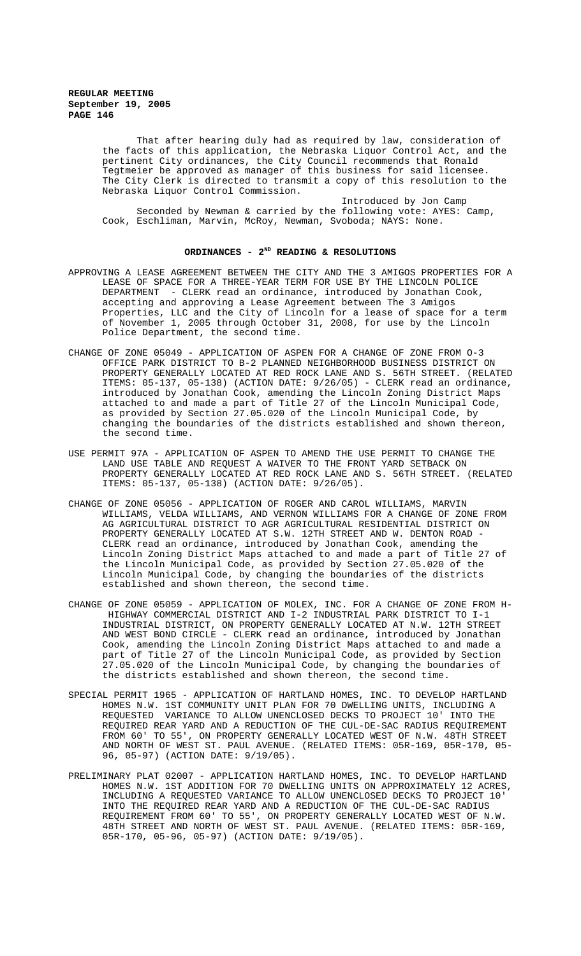> That after hearing duly had as required by law, consideration of the facts of this application, the Nebraska Liquor Control Act, and the pertinent City ordinances, the City Council recommends that Ronald Tegtmeier be approved as manager of this business for said licensee. The City Clerk is directed to transmit a copy of this resolution to the Nebraska Liquor Control Commission.

Introduced by Jon Camp Seconded by Newman & carried by the following vote: AYES: Camp, Cook, Eschliman, Marvin, McRoy, Newman, Svoboda; NAYS: None.

### ORDINANCES - 2<sup>ND</sup> READING & RESOLUTIONS

- APPROVING A LEASE AGREEMENT BETWEEN THE CITY AND THE 3 AMIGOS PROPERTIES FOR A LEASE OF SPACE FOR A THREE-YEAR TERM FOR USE BY THE LINCOLN POLICE DEPARTMENT - CLERK read an ordinance, introduced by Jonathan Cook, accepting and approving a Lease Agreement between The 3 Amigos Properties, LLC and the City of Lincoln for a lease of space for a term of November 1, 2005 through October 31, 2008, for use by the Lincoln Police Department, the second time.
- CHANGE OF ZONE 05049 APPLICATION OF ASPEN FOR A CHANGE OF ZONE FROM O-3 OFFICE PARK DISTRICT TO B-2 PLANNED NEIGHBORHOOD BUSINESS DISTRICT ON PROPERTY GENERALLY LOCATED AT RED ROCK LANE AND S. 56TH STREET. (RELATED ITEMS: 05-137, 05-138) (ACTION DATE: 9/26/05) - CLERK read an ordinance, introduced by Jonathan Cook, amending the Lincoln Zoning District Maps attached to and made a part of Title 27 of the Lincoln Municipal Code, as provided by Section 27.05.020 of the Lincoln Municipal Code, by changing the boundaries of the districts established and shown thereon, the second time.
- USE PERMIT 97A APPLICATION OF ASPEN TO AMEND THE USE PERMIT TO CHANGE THE LAND USE TABLE AND REQUEST A WAIVER TO THE FRONT YARD SETBACK ON PROPERTY GENERALLY LOCATED AT RED ROCK LANE AND S. 56TH STREET. (RELATED ITEMS: 05-137, 05-138) (ACTION DATE: 9/26/05).
- CHANGE OF ZONE 05056 APPLICATION OF ROGER AND CAROL WILLIAMS, MARVIN WILLIAMS, VELDA WILLIAMS, AND VERNON WILLIAMS FOR A CHANGE OF ZONE FROM AG AGRICULTURAL DISTRICT TO AGR AGRICULTURAL RESIDENTIAL DISTRICT ON PROPERTY GENERALLY LOCATED AT S.W. 12TH STREET AND W. DENTON ROAD - CLERK read an ordinance, introduced by Jonathan Cook, amending the Lincoln Zoning District Maps attached to and made a part of Title 27 of the Lincoln Municipal Code, as provided by Section 27.05.020 of the Lincoln Municipal Code, by changing the boundaries of the districts established and shown thereon, the second time.
- CHANGE OF ZONE 05059 APPLICATION OF MOLEX, INC. FOR A CHANGE OF ZONE FROM H- HIGHWAY COMMERCIAL DISTRICT AND I-2 INDUSTRIAL PARK DISTRICT TO I-1 INDUSTRIAL DISTRICT, ON PROPERTY GENERALLY LOCATED AT N.W. 12TH STREET AND WEST BOND CIRCLE - CLERK read an ordinance, introduced by Jonathan Cook, amending the Lincoln Zoning District Maps attached to and made a part of Title 27 of the Lincoln Municipal Code, as provided by Section 27.05.020 of the Lincoln Municipal Code, by changing the boundaries of the districts established and shown thereon, the second time.
- SPECIAL PERMIT 1965 APPLICATION OF HARTLAND HOMES, INC. TO DEVELOP HARTLAND HOMES N.W. 1ST COMMUNITY UNIT PLAN FOR 70 DWELLING UNITS, INCLUDING A REQUESTED VARIANCE TO ALLOW UNENCLOSED DECKS TO PROJECT 10' INTO THE REQUIRED REAR YARD AND A REDUCTION OF THE CUL-DE-SAC RADIUS REQUIREMENT FROM 60' TO 55', ON PROPERTY GENERALLY LOCATED WEST OF N.W. 48TH STREET AND NORTH OF WEST ST. PAUL AVENUE. (RELATED ITEMS: 05R-169, 05R-170, 05- 96, 05-97) (ACTION DATE: 9/19/05).
- PRELIMINARY PLAT 02007 APPLICATION HARTLAND HOMES, INC. TO DEVELOP HARTLAND HOMES N.W. 1ST ADDITION FOR 70 DWELLING UNITS ON APPROXIMATELY 12 ACRES, INCLUDING A REQUESTED VARIANCE TO ALLOW UNENCLOSED DECKS TO PROJECT 10' INTO THE REQUIRED REAR YARD AND A REDUCTION OF THE CUL-DE-SAC RADIUS REQUIREMENT FROM 60' TO 55', ON PROPERTY GENERALLY LOCATED WEST OF N.W. 48TH STREET AND NORTH OF WEST ST. PAUL AVENUE. (RELATED ITEMS: 05R-169, 05R-170, 05-96, 05-97) (ACTION DATE: 9/19/05).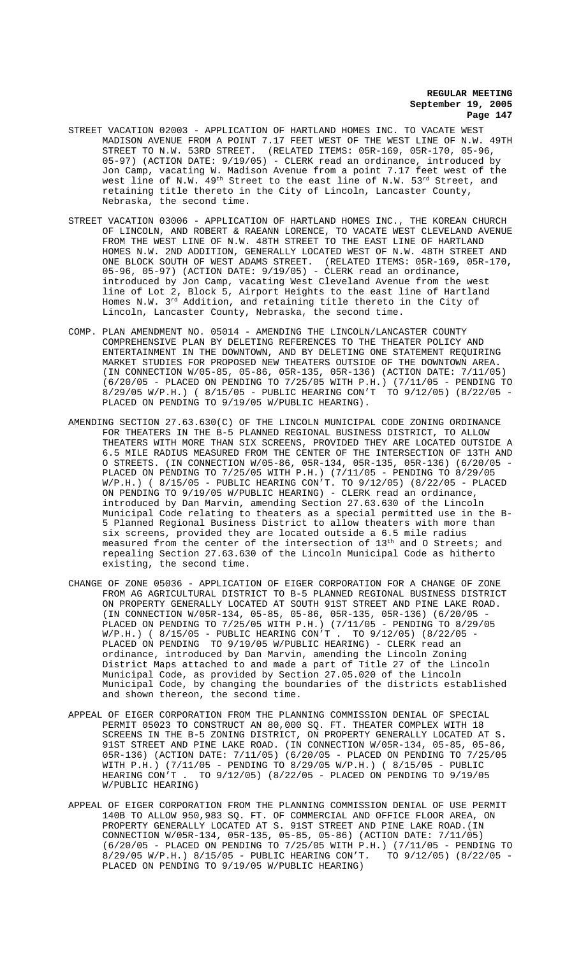- STREET VACATION 02003 APPLICATION OF HARTLAND HOMES INC. TO VACATE WEST MADISON AVENUE FROM A POINT 7.17 FEET WEST OF THE WEST LINE OF N.W. 49TH<br>STREET TO N.W. 53RD STREET. (RELATED ITEMS: 05R-169, 05R-170, 05-96, STREET TO N.W. 53RD STREET. (RELATED ITEMS: 05R-169, 05R-170, 05-96, 05-97) (ACTION DATE: 9/19/05) - CLERK read an ordinance, introduced by Jon Camp, vacating W. Madison Avenue from a point 7.17 feet west of the west line of N.W. 49<sup>th</sup> Street to the east line of N.W. 53<sup>rd</sup> Street, and retaining title thereto in the City of Lincoln, Lancaster County, Nebraska, the second time.
- STREET VACATION 03006 APPLICATION OF HARTLAND HOMES INC., THE KOREAN CHURCH OF LINCOLN, AND ROBERT & RAEANN LORENCE, TO VACATE WEST CLEVELAND AVENUE FROM THE WEST LINE OF N.W. 48TH STREET TO THE EAST LINE OF HARTLAND HOMES N.W. 2ND ADDITION, GENERALLY LOCATED WEST OF N.W. 48TH STREET AND ONE BLOCK SOUTH OF WEST ADAMS STREET. (RELATED ITEMS: 05R-169, 05R-170, 05-96, 05-97) (ACTION DATE: 9/19/05) - CLERK read an ordinance, introduced by Jon Camp, vacating West Cleveland Avenue from the west line of Lot 2, Block 5, Airport Heights to the east line of Hartland Homes N.W. 3rd Addition, and retaining title thereto in the City of Lincoln, Lancaster County, Nebraska, the second time.
- COMP. PLAN AMENDMENT NO. 05014 AMENDING THE LINCOLN/LANCASTER COUNTY COMPREHENSIVE PLAN BY DELETING REFERENCES TO THE THEATER POLICY AND ENTERTAINMENT IN THE DOWNTOWN, AND BY DELETING ONE STATEMENT REQUIRING MARKET STUDIES FOR PROPOSED NEW THEATERS OUTSIDE OF THE DOWNTOWN AREA. (IN CONNECTION W/05-85, 05-86, 05R-135, 05R-136) (ACTION DATE: 7/11/05) (6/20/05 - PLACED ON PENDING TO 7/25/05 WITH P.H.) (7/11/05 - PENDING TO 8/29/05 W/P.H.) ( 8/15/05 - PUBLIC HEARING CON'T TO 9/12/05) (8/22/05 - PLACED ON PENDING TO 9/19/05 W/PUBLIC HEARING).
- AMENDING SECTION 27.63.630(C) OF THE LINCOLN MUNICIPAL CODE ZONING ORDINANCE FOR THEATERS IN THE B-5 PLANNED REGIONAL BUSINESS DISTRICT, TO ALLOW THEATERS WITH MORE THAN SIX SCREENS, PROVIDED THEY ARE LOCATED OUTSIDE A 6.5 MILE RADIUS MEASURED FROM THE CENTER OF THE INTERSECTION OF 13TH AND O STREETS. (IN CONNECTION W/05-86, 05R-134, 05R-135, 05R-136) (6/20/05 - PLACED ON PENDING TO 7/25/05 WITH P.H.) (7/11/05 - PENDING TO 8/29/05 W/P.H.) ( 8/15/05 - PUBLIC HEARING CON'T. TO 9/12/05) (8/22/05 - PLACED ON PENDING TO 9/19/05 W/PUBLIC HEARING) - CLERK read an ordinance, introduced by Dan Marvin, amending Section 27.63.630 of the Lincoln Municipal Code relating to theaters as a special permitted use in the B-5 Planned Regional Business District to allow theaters with more than six screens, provided they are located outside a 6.5 mile radius measured from the center of the intersection of 13<sup>th</sup> and 0 Streets; and repealing Section 27.63.630 of the Lincoln Municipal Code as hitherto existing, the second time.
- CHANGE OF ZONE 05036 APPLICATION OF EIGER CORPORATION FOR A CHANGE OF ZONE FROM AG AGRICULTURAL DISTRICT TO B-5 PLANNED REGIONAL BUSINESS DISTRICT ON PROPERTY GENERALLY LOCATED AT SOUTH 91ST STREET AND PINE LAKE ROAD. (IN CONNECTION W/05R-134, 05-85, 05-86, 05R-135, 05R-136) (6/20/05 - PLACED ON PENDING TO 7/25/05 WITH P.H.) (7/11/05 - PENDING TO 8/29<br>W/P.H.) (8/15/05 - PUBLIC HEARING CON'T . TO 9/12/05) (8/22/05  $W/P.H.$ ) (  $8/15/05$  - PUBLIC HEARING CON'T. PLACED ON PENDING TO 9/19/05 W/PUBLIC HEARING) - CLERK read an ordinance, introduced by Dan Marvin, amending the Lincoln Zoning District Maps attached to and made a part of Title 27 of the Lincoln Municipal Code, as provided by Section 27.05.020 of the Lincoln Municipal Code, by changing the boundaries of the districts established and shown thereon, the second time.
- APPEAL OF EIGER CORPORATION FROM THE PLANNING COMMISSION DENIAL OF SPECIAL PERMIT 05023 TO CONSTRUCT AN 80,000 SQ. FT. THEATER COMPLEX WITH 18 SCREENS IN THE B-5 ZONING DISTRICT, ON PROPERTY GENERALLY LOCATED AT S. 91ST STREET AND PINE LAKE ROAD. (IN CONNECTION W/05R-134, 05-85, 05-86, 05R-136) (ACTION DATE: 7/11/05) (6/20/05 - PLACED ON PENDING TO 7/25/05 WITH P.H.) (7/11/05 - PENDING TO 8/29/05 W/P.H.) (8/15/05 - PUBLIC<br>HEARING CON'T . TO 9/12/05) (8/22/05 - PLACED ON PENDING TO 9/19/0 TO 9/12/05) (8/22/05 - PLACED ON PENDING TO 9/19/05 W/PUBLIC HEARING)
- APPEAL OF EIGER CORPORATION FROM THE PLANNING COMMISSION DENIAL OF USE PERMIT 140B TO ALLOW 950,983 SQ. FT. OF COMMERCIAL AND OFFICE FLOOR AREA, ON PROPERTY GENERALLY LOCATED AT S. 91ST STREET AND PINE LAKE ROAD.(IN CONNECTION W/05R-134, 05R-135, 05-85, 05-86) (ACTION DATE: 7/11/05) (6/20/05 - PLACED ON PENDING TO 7/25/05 WITH P.H.) (7/11/05 - PENDING TO 8/29/05 W/P.H.) 8/15/05 - PUBLIC HEARING CON'T. TO 9/12/05) (8/22/05 - PLACED ON PENDING TO 9/19/05 W/PUBLIC HEARING)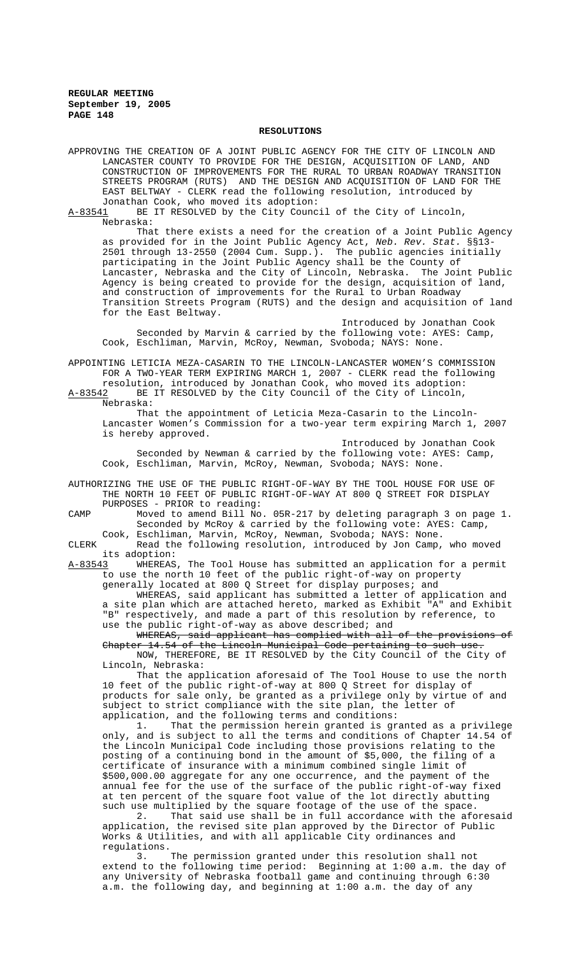#### **RESOLUTIONS**

APPROVING THE CREATION OF A JOINT PUBLIC AGENCY FOR THE CITY OF LINCOLN AND LANCASTER COUNTY TO PROVIDE FOR THE DESIGN, ACQUISITION OF LAND, AND CONSTRUCTION OF IMPROVEMENTS FOR THE RURAL TO URBAN ROADWAY TRANSITION STREETS PROGRAM (RUTS) AND THE DESIGN AND ACQUISITION OF LAND FOR THE EAST BELTWAY - CLERK read the following resolution, introduced by Jonathan Cook, who moved its adoption:

A-83541 BE IT RESOLVED by the City Council of the City of Lincoln, Nebraska:

That there exists a need for the creation of a Joint Public Agency as provided for in the Joint Public Agency Act, *Neb. Rev. Stat.* §§13- 2501 through 13-2550 (2004 Cum. Supp.). The public agencies initially participating in the Joint Public Agency shall be the County of Lancaster, Nebraska and the City of Lincoln, Nebraska. The Joint Public Agency is being created to provide for the design, acquisition of land, and construction of improvements for the Rural to Urban Roadway Transition Streets Program (RUTS) and the design and acquisition of land for the East Beltway.

Introduced by Jonathan Cook Seconded by Marvin & carried by the following vote: AYES: Camp, Cook, Eschliman, Marvin, McRoy, Newman, Svoboda; NAYS: None.

APPOINTING LETICIA MEZA-CASARIN TO THE LINCOLN-LANCASTER WOMEN'S COMMISSION FOR A TWO-YEAR TERM EXPIRING MARCH 1, 2007 - CLERK read the following resolution, introduced by Jonathan Cook, who moved its adoption:

A-83542 BE IT RESOLVED by the City Council of the City of Lincoln, Nebraska:

That the appointment of Leticia Meza-Casarin to the Lincoln-Lancaster Women's Commission for a two-year term expiring March 1, 2007 is hereby approved.

Introduced by Jonathan Cook Seconded by Newman & carried by the following vote: AYES: Camp, Cook, Eschliman, Marvin, McRoy, Newman, Svoboda; NAYS: None.

AUTHORIZING THE USE OF THE PUBLIC RIGHT-OF-WAY BY THE TOOL HOUSE FOR USE OF THE NORTH 10 FEET OF PUBLIC RIGHT-OF-WAY AT 800 Q STREET FOR DISPLAY PURPOSES - PRIOR to reading:

CAMP Moved to amend Bill No. 05R-217 by deleting paragraph 3 on page 1. Seconded by McRoy & carried by the following vote: AYES: Camp, Cook, Eschliman, Marvin, McRoy, Newman, Svoboda; NAYS: None.

CLERK Read the following resolution, introduced by Jon Camp, who moved its adoption:<br>A-83543 WHEREAS

WHEREAS, The Tool House has submitted an application for a permit to use the north 10 feet of the public right-of-way on property generally located at 800 Q Street for display purposes; and

WHEREAS, said applicant has submitted a letter of application and a site plan which are attached hereto, marked as Exhibit "A" and Exhibit "B" respectively, and made a part of this resolution by reference, to use the public right-of-way as above described; and

WHEREAS, said applicant has complied with all of the provisions of Chapter 14.54 of the Lincoln Municipal Code pertaining to such use. NOW, THEREFORE, BE IT RESOLVED by the City Council of the City of Lincoln, Nebraska:

That the application aforesaid of The Tool House to use the north 10 feet of the public right-of-way at 800 Q Street for display of products for sale only, be granted as a privilege only by virtue of and subject to strict compliance with the site plan, the letter of application, and the following terms and conditions:

1. That the permission herein granted is granted as a privilege only, and is subject to all the terms and conditions of Chapter 14.54 of the Lincoln Municipal Code including those provisions relating to the posting of a continuing bond in the amount of \$5,000, the filing of a certificate of insurance with a minimum combined single limit of \$500,000.00 aggregate for any one occurrence, and the payment of the annual fee for the use of the surface of the public right-of-way fixed at ten percent of the square foot value of the lot directly abutting such use multiplied by the square footage of the use of the space.

2. That said use shall be in full accordance with the aforesaid application, the revised site plan approved by the Director of Public Works & Utilities, and with all applicable City ordinances and regulations.<br>3.

The permission granted under this resolution shall not extend to the following time period: Beginning at 1:00 a.m. the day of any University of Nebraska football game and continuing through 6:30 a.m. the following day, and beginning at 1:00 a.m. the day of any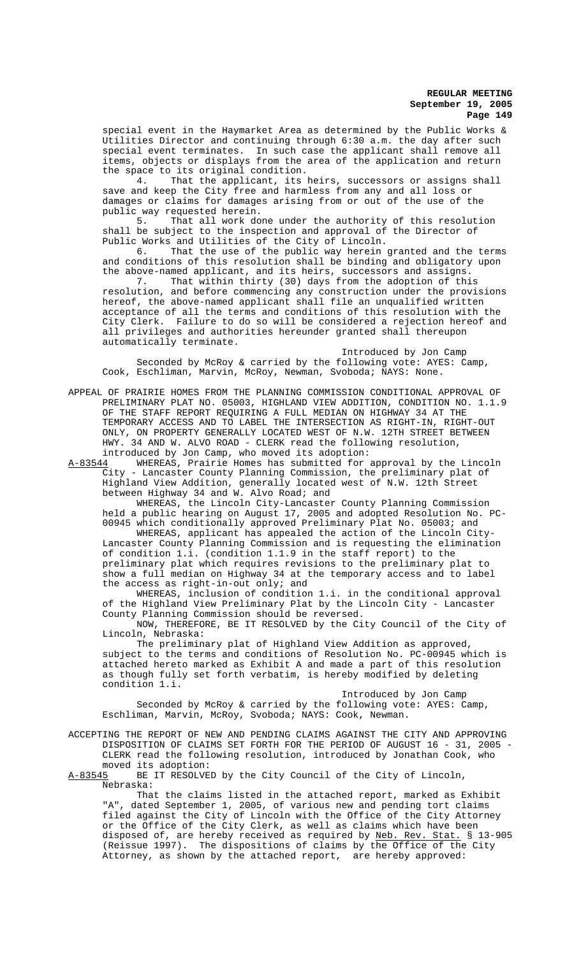special event in the Haymarket Area as determined by the Public Works & Utilities Director and continuing through 6:30 a.m. the day after such special event terminates. In such case the applicant shall remove all items, objects or displays from the area of the application and return the space to its original condition.<br>4. That the applicant, its

That the applicant, its heirs, successors or assigns shall save and keep the City free and harmless from any and all loss or damages or claims for damages arising from or out of the use of the public way requested herein.

5. That all work done under the authority of this resolution shall be subject to the inspection and approval of the Director of Public Works and Utilities of the City of Lincoln.<br>6. That the use of the public way herein

That the use of the public way herein granted and the terms and conditions of this resolution shall be binding and obligatory upon the above-named applicant, and its heirs, successors and assigns.

7. That within thirty (30) days from the adoption of this 7. That within thirty (30) days from the adoption of this resolution, and before commencing any construction under the provisions hereof, the above-named applicant shall file an unqualified written acceptance of all the terms and conditions of this resolution with the City Clerk. Failure to do so will be considered a rejection hereof and all privileges and authorities hereunder granted shall thereupon automatically terminate.

Introduced by Jon Camp Seconded by McRoy & carried by the following vote: AYES: Camp, Cook, Eschliman, Marvin, McRoy, Newman, Svoboda; NAYS: None.

APPEAL OF PRAIRIE HOMES FROM THE PLANNING COMMISSION CONDITIONAL APPROVAL OF PRELIMINARY PLAT NO. 05003, HIGHLAND VIEW ADDITION, CONDITION NO. 1.1.9 OF THE STAFF REPORT REQUIRING A FULL MEDIAN ON HIGHWAY 34 AT THE TEMPORARY ACCESS AND TO LABEL THE INTERSECTION AS RIGHT-IN, RIGHT-OUT ONLY, ON PROPERTY GENERALLY LOCATED WEST OF N.W. 12TH STREET BETWEEN HWY. 34 AND W. ALVO ROAD - CLERK read the following resolution, introduced by Jon Camp, who moved its adoption:

A-83544 WHEREAS, Prairie Homes has submitted for approval by the Lincoln City - Lancaster County Planning Commission, the preliminary plat of Highland View Addition, generally located west of N.W. 12th Street between Highway 34 and W. Alvo Road; and

WHEREAS, the Lincoln City-Lancaster County Planning Commission held a public hearing on August 17, 2005 and adopted Resolution No. PC-00945 which conditionally approved Preliminary Plat No. 05003; and

WHEREAS, applicant has appealed the action of the Lincoln City-Lancaster County Planning Commission and is requesting the elimination of condition 1.i. (condition 1.1.9 in the staff report) to the preliminary plat which requires revisions to the preliminary plat to show a full median on Highway 34 at the temporary access and to label the access as right-in-out only; and

WHEREAS, inclusion of condition 1.i. in the conditional approval of the Highland View Preliminary Plat by the Lincoln City - Lancaster County Planning Commission should be reversed.

NOW, THEREFORE, BE IT RESOLVED by the City Council of the City of Lincoln, Nebraska:

The preliminary plat of Highland View Addition as approved, subject to the terms and conditions of Resolution No. PC-00945 which is attached hereto marked as Exhibit A and made a part of this resolution as though fully set forth verbatim, is hereby modified by deleting condition 1.i.

Introduced by Jon Camp Seconded by McRoy & carried by the following vote: AYES: Camp, Eschliman, Marvin, McRoy, Svoboda; NAYS: Cook, Newman.

ACCEPTING THE REPORT OF NEW AND PENDING CLAIMS AGAINST THE CITY AND APPROVING DISPOSITION OF CLAIMS SET FORTH FOR THE PERIOD OF AUGUST 16 - 31, 2005 - CLERK read the following resolution, introduced by Jonathan Cook, who

moved its adoption:<br>A-83545 BE IT RESOLVE BE IT RESOLVED by the City Council of the City of Lincoln, Nebraska:

That the claims listed in the attached report, marked as Exhibit "A", dated September 1, 2005, of various new and pending tort claims filed against the City of Lincoln with the Office of the City Attorney or the Office of the City Clerk, as well as claims which have been disposed of, are hereby received as required by <u>Neb. Rev. Stat.</u> § 13-905 (Reissue 1997). The dispositions of claims by the Office of the City Attorney, as shown by the attached report, are hereby approved: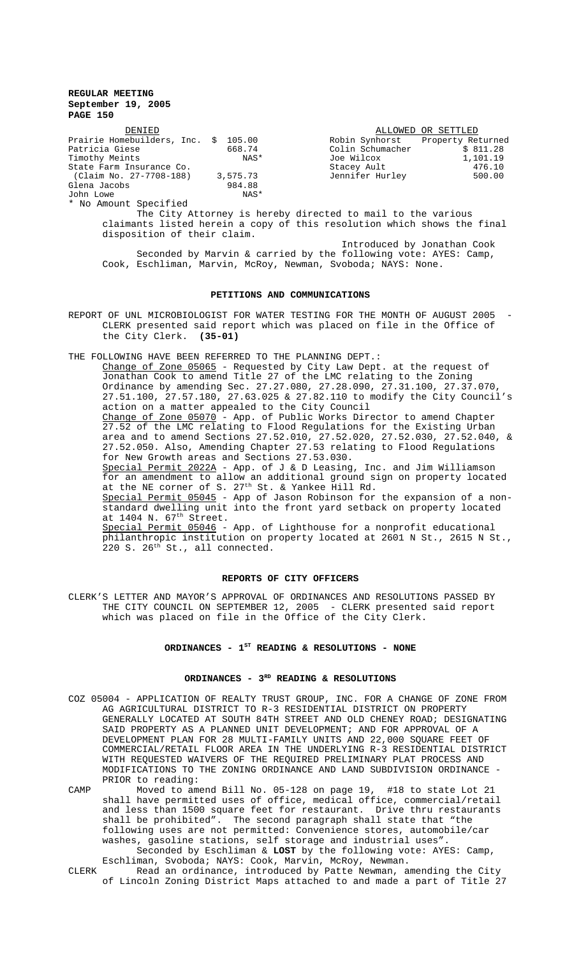| DENIED                        |          |                  | ALLOWED OR SETTLED |
|-------------------------------|----------|------------------|--------------------|
| Prairie Homebuilders, Inc. \$ | 105.00   | Robin Synhorst   | Property Returned  |
| Patricia Giese                | 668.74   | Colin Schumacher | \$811.28           |
| Timothy Meints                | NAS*     | Joe Wilcox       | 1,101.19           |
| State Farm Insurance Co.      |          | Stacey Ault      | 476.10             |
| (Claim No. 27-7708-188)       | 3,575.73 | Jennifer Hurley  | 500.00             |
| Glena Jacobs                  | 984.88   |                  |                    |
| John Lowe                     | NAS*     |                  |                    |
| * No Amount Specified         |          |                  |                    |

The City Attorney is hereby directed to mail to the various claimants listed herein a copy of this resolution which shows the final disposition of their claim.

Introduced by Jonathan Cook Seconded by Marvin & carried by the following vote: AYES: Camp, Cook, Eschliman, Marvin, McRoy, Newman, Svoboda; NAYS: None.

### **PETITIONS AND COMMUNICATIONS**

REPORT OF UNL MICROBIOLOGIST FOR WATER TESTING FOR THE MONTH OF AUGUST 2005 -CLERK presented said report which was placed on file in the Office of the City Clerk. **(35-01)**

THE FOLLOWING HAVE BEEN REFERRED TO THE PLANNING DEPT.:

Change of Zone 05065 - Requested by City Law Dept. at the request of Jonathan Cook to amend Title 27 of the LMC relating to the Zoning Ordinance by amending Sec. 27.27.080, 27.28.090, 27.31.100, 27.37.070, 27.51.100, 27.57.180, 27.63.025 & 27.82.110 to modify the City Council's action on a matter appealed to the City Council Change of Zone 05070 - App. of Public Works Director to amend Chapter 27.52 of the LMC relating to Flood Regulations for the Existing Urban area and to amend Sections 27.52.010, 27.52.020, 27.52.030, 27.52.040, & 27.52.050. Also, Amending Chapter 27.53 relating to Flood Regulations for New Growth areas and Sections 27.53.030. Special Permit 2022A - App. of J & D Leasing, Inc. and Jim Williamson for an amendment to allow an additional ground sign on property located at the NE corner of S. 27<sup>th</sup> St. & Yankee Hill Rd. Special Permit 05045 - App of Jason Robinson for the expansion of a nonstandard dwelling unit into the front yard setback on property located at  $1404$  N.  $67<sup>th</sup>$  Street. Special Permit 05046 - App. of Lighthouse for a nonprofit educational philanthropic institution on property located at 2601 N St., 2615 N St., 220 S. 26th St., all connected.

#### **REPORTS OF CITY OFFICERS**

CLERK'S LETTER AND MAYOR'S APPROVAL OF ORDINANCES AND RESOLUTIONS PASSED BY THE CITY COUNCIL ON SEPTEMBER 12, 2005 - CLERK presented said report which was placed on file in the Office of the City Clerk.

# ORDINANCES - 1<sup>st</sup> READING & RESOLUTIONS - NONE

### ORDINANCES - 3<sup>RD</sup> READING & RESOLUTIONS

COZ 05004 - APPLICATION OF REALTY TRUST GROUP, INC. FOR A CHANGE OF ZONE FROM AG AGRICULTURAL DISTRICT TO R-3 RESIDENTIAL DISTRICT ON PROPERTY GENERALLY LOCATED AT SOUTH 84TH STREET AND OLD CHENEY ROAD; DESIGNATING SAID PROPERTY AS A PLANNED UNIT DEVELOPMENT; AND FOR APPROVAL OF A DEVELOPMENT PLAN FOR 28 MULTI-FAMILY UNITS AND 22,000 SQUARE FEET OF COMMERCIAL/RETAIL FLOOR AREA IN THE UNDERLYING R-3 RESIDENTIAL DISTRICT WITH REQUESTED WAIVERS OF THE REQUIRED PRELIMINARY PLAT PROCESS AND MODIFICATIONS TO THE ZONING ORDINANCE AND LAND SUBDIVISION ORDINANCE - PRIOR to reading:

CAMP Moved to amend Bill No. 05-128 on page 19, #18 to state Lot 21 shall have permitted uses of office, medical office, commercial/retail and less than 1500 square feet for restaurant. Drive thru restaurants shall be prohibited". The second paragraph shall state that "the following uses are not permitted: Convenience stores, automobile/car washes, gasoline stations, self storage and industrial uses". Seconded by Eschliman & **LOST** by the following vote: AYES: Camp,

Eschliman, Svoboda; NAYS: Cook, Marvin, McRoy, Newman. CLERK Read an ordinance, introduced by Patte Newman, amending the City of Lincoln Zoning District Maps attached to and made a part of Title 27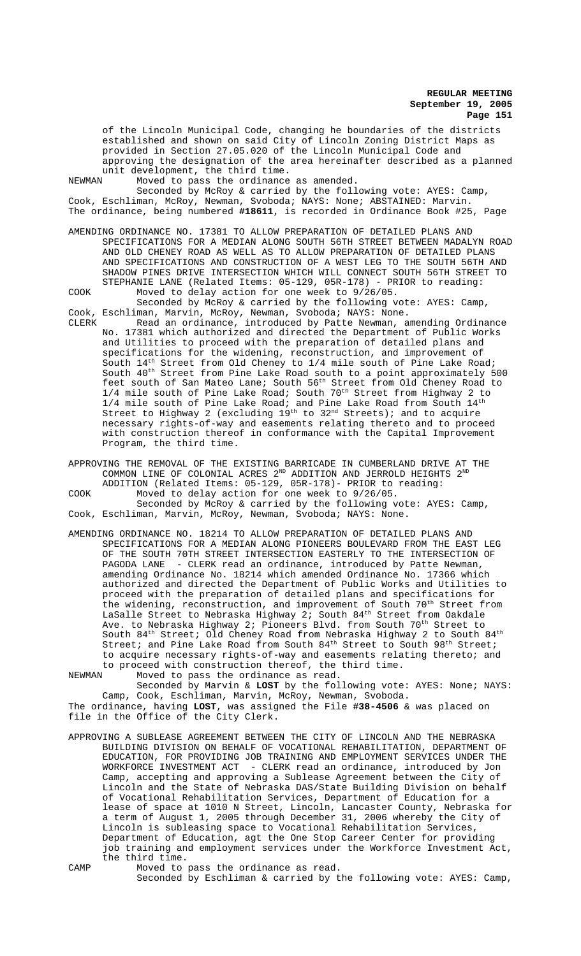of the Lincoln Municipal Code, changing he boundaries of the districts established and shown on said City of Lincoln Zoning District Maps as provided in Section 27.05.020 of the Lincoln Municipal Code and approving the designation of the area hereinafter described as a planned unit development, the third time.<br>NEWMAN Moved to pass the ordinance

Moved to pass the ordinance as amended.

Seconded by McRoy & carried by the following vote: AYES: Camp, Cook, Eschliman, McRoy, Newman, Svoboda; NAYS: None; ABSTAINED: Marvin. The ordinance, being numbered **#18611**, is recorded in Ordinance Book #25, Page

AMENDING ORDINANCE NO. 17381 TO ALLOW PREPARATION OF DETAILED PLANS AND SPECIFICATIONS FOR A MEDIAN ALONG SOUTH 56TH STREET BETWEEN MADALYN ROAD AND OLD CHENEY ROAD AS WELL AS TO ALLOW PREPARATION OF DETAILED PLANS AND SPECIFICATIONS AND CONSTRUCTION OF A WEST LEG TO THE SOUTH 56TH AND SHADOW PINES DRIVE INTERSECTION WHICH WILL CONNECT SOUTH 56TH STREET TO STEPHANIE LANE (Related Items: 05-129, 05R-178) - PRIOR to reading: COOK Moved to delay action for one week to 9/26/05.

Seconded by McRoy & carried by the following vote: AYES: Camp, Cook, Eschliman, Marvin, McRoy, Newman, Svoboda; NAYS: None.

CLERK Read an ordinance, introduced by Patte Newman, amending Ordinance No. 17381 which authorized and directed the Department of Public Works and Utilities to proceed with the preparation of detailed plans and specifications for the widening, reconstruction, and improvement of South  $14<sup>th</sup>$  Street from Old Cheney to  $1/4$  mile south of Pine Lake Road; South 40th Street from Pine Lake Road south to a point approximately 500 feet south of San Mateo Lane; South 56<sup>th</sup> Street from Old Cheney Road to 1/4 mile south of Pine Lake Road; South 70<sup>th</sup> Street from Highway 2 to  $1/4$  mile south of Pine Lake Road; and Pine Lake Road from South  $14^{\text{th}}$ Street to Highway 2 (excluding  $19^{\text{th}}$  to  $32^{\text{nd}}$  Streets); and to acquire necessary rights-of-way and easements relating thereto and to proceed with construction thereof in conformance with the Capital Improvement Program, the third time.

APPROVING THE REMOVAL OF THE EXISTING BARRICADE IN CUMBERLAND DRIVE AT THE COMMON LINE OF COLONIAL ACRES  $2^{\text{ND}}$  ADDITION AND JERROLD HEIGHTS  $2^{\text{ND}}$ ADDITION (Related Items: 05-129, 05R-178)- PRIOR to reading:

COOK Moved to delay action for one week to 9/26/05.

Seconded by McRoy & carried by the following vote: AYES: Camp, Cook, Eschliman, Marvin, McRoy, Newman, Svoboda; NAYS: None.

AMENDING ORDINANCE NO. 18214 TO ALLOW PREPARATION OF DETAILED PLANS AND SPECIFICATIONS FOR A MEDIAN ALONG PIONEERS BOULEVARD FROM THE EAST LEG OF THE SOUTH 70TH STREET INTERSECTION EASTERLY TO THE INTERSECTION OF PAGODA LANE - CLERK read an ordinance, introduced by Patte Newman, - CLERK read an ordinance, introduced by Patte Newman, amending Ordinance No. 18214 which amended Ordinance No. 17366 which authorized and directed the Department of Public Works and Utilities to proceed with the preparation of detailed plans and specifications for the widening, reconstruction, and improvement of South 70<sup>th</sup> Street from LaSalle Street to Nebraska Highway 2; South 84<sup>th</sup> Street from Oakdale Ave. to Nebraska Highway 2; Pioneers Blvd. from South 70<sup>th</sup> Street to South 84<sup>th</sup> Street; Old Cheney Road from Nebraska Highway 2 to South 84<sup>th</sup> Street; and Pine Lake Road from South  $84<sup>th</sup>$  Street to South  $98<sup>th</sup>$  Street; to acquire necessary rights-of-way and easements relating thereto; and to proceed with construction thereof, the third time.

NEWMAN Moved to pass the ordinance as read.

Seconded by Marvin & **LOST** by the following vote: AYES: None; NAYS: Camp, Cook, Eschliman, Marvin, McRoy, Newman, Svoboda.

The ordinance, having **LOST**, was assigned the File **#38-4506** & was placed on file in the Office of the City Clerk.

APPROVING A SUBLEASE AGREEMENT BETWEEN THE CITY OF LINCOLN AND THE NEBRASKA BUILDING DIVISION ON BEHALF OF VOCATIONAL REHABILITATION, DEPARTMENT OF EDUCATION, FOR PROVIDING JOB TRAINING AND EMPLOYMENT SERVICES UNDER THE WORKFORCE INVESTMENT ACT - CLERK read an ordinance, introduced by Jon Camp, accepting and approving a Sublease Agreement between the City of Lincoln and the State of Nebraska DAS/State Building Division on behalf of Vocational Rehabilitation Services, Department of Education for a lease of space at 1010 N Street, Lincoln, Lancaster County, Nebraska for a term of August 1, 2005 through December 31, 2006 whereby the City of Lincoln is subleasing space to Vocational Rehabilitation Services, Department of Education, agt the One Stop Career Center for providing job training and employment services under the Workforce Investment Act, the third time.

CAMP Moved to pass the ordinance as read. Seconded by Eschliman & carried by the following vote: AYES: Camp,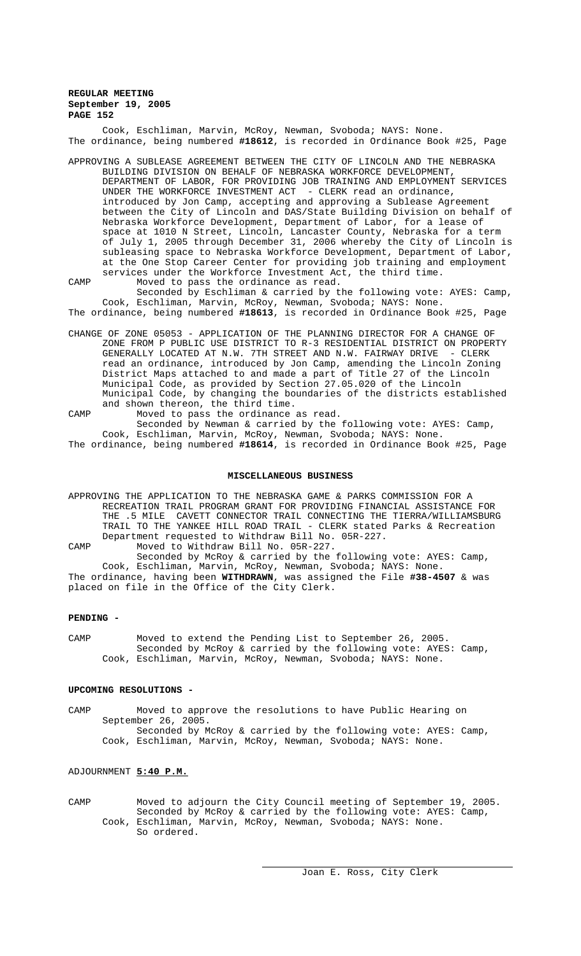Cook, Eschliman, Marvin, McRoy, Newman, Svoboda; NAYS: None. The ordinance, being numbered **#18612**, is recorded in Ordinance Book #25, Page

- APPROVING A SUBLEASE AGREEMENT BETWEEN THE CITY OF LINCOLN AND THE NEBRASKA BUILDING DIVISION ON BEHALF OF NEBRASKA WORKFORCE DEVELOPMENT, DEPARTMENT OF LABOR, FOR PROVIDING JOB TRAINING AND EMPLOYMENT SERVICES UNDER THE WORKFORCE INVESTMENT ACT - CLERK read an ordinance, introduced by Jon Camp, accepting and approving a Sublease Agreement between the City of Lincoln and DAS/State Building Division on behalf of Nebraska Workforce Development, Department of Labor, for a lease of space at 1010 N Street, Lincoln, Lancaster County, Nebraska for a term of July 1, 2005 through December 31, 2006 whereby the City of Lincoln is subleasing space to Nebraska Workforce Development, Department of Labor, at the One Stop Career Center for providing job training and employment services under the Workforce Investment Act, the third time.
- CAMP Moved to pass the ordinance as read. Seconded by Eschliman & carried by the following vote: AYES: Camp, Cook, Eschliman, Marvin, McRoy, Newman, Svoboda; NAYS: None.

The ordinance, being numbered **#18613**, is recorded in Ordinance Book #25, Page

- CHANGE OF ZONE 05053 APPLICATION OF THE PLANNING DIRECTOR FOR A CHANGE OF ZONE FROM P PUBLIC USE DISTRICT TO R-3 RESIDENTIAL DISTRICT ON PROPERTY GENERALLY LOCATED AT N.W. 7TH STREET AND N.W. FAIRWAY DRIVE - CLERK read an ordinance, introduced by Jon Camp, amending the Lincoln Zoning District Maps attached to and made a part of Title 27 of the Lincoln Municipal Code, as provided by Section 27.05.020 of the Lincoln Municipal Code, by changing the boundaries of the districts established and shown thereon, the third time.
- CAMP Moved to pass the ordinance as read. Seconded by Newman & carried by the following vote: AYES: Camp, Cook, Eschliman, Marvin, McRoy, Newman, Svoboda; NAYS: None.
- The ordinance, being numbered **#18614**, is recorded in Ordinance Book #25, Page

# **MISCELLANEOUS BUSINESS**

APPROVING THE APPLICATION TO THE NEBRASKA GAME & PARKS COMMISSION FOR A RECREATION TRAIL PROGRAM GRANT FOR PROVIDING FINANCIAL ASSISTANCE FOR THE .5 MILE CAVETT CONNECTOR TRAIL CONNECTING THE TIERRA/WILLIAMSBURG TRAIL TO THE YANKEE HILL ROAD TRAIL - CLERK stated Parks & Recreation Department requested to Withdraw Bill No. 05R-227.

CAMP Moved to Withdraw Bill No. 05R-227. Seconded by McRoy & carried by the following vote: AYES: Camp,

Cook, Eschliman, Marvin, McRoy, Newman, Svoboda; NAYS: None. The ordinance, having been **WITHDRAWN**, was assigned the File **#38-4507** & was placed on file in the Office of the City Clerk.

#### **PENDING -**

CAMP Moved to extend the Pending List to September 26, 2005. Seconded by McRoy & carried by the following vote: AYES: Camp, Cook, Eschliman, Marvin, McRoy, Newman, Svoboda; NAYS: None.

#### **UPCOMING RESOLUTIONS -**

CAMP Moved to approve the resolutions to have Public Hearing on September 26, 2005. Seconded by McRoy & carried by the following vote: AYES: Camp, Cook, Eschliman, Marvin, McRoy, Newman, Svoboda; NAYS: None.

# ADJOURNMENT **5:40 P.M.**

CAMP Moved to adjourn the City Council meeting of September 19, 2005. Seconded by McRoy & carried by the following vote: AYES: Camp, Cook, Eschliman, Marvin, McRoy, Newman, Svoboda; NAYS: None. So ordered.